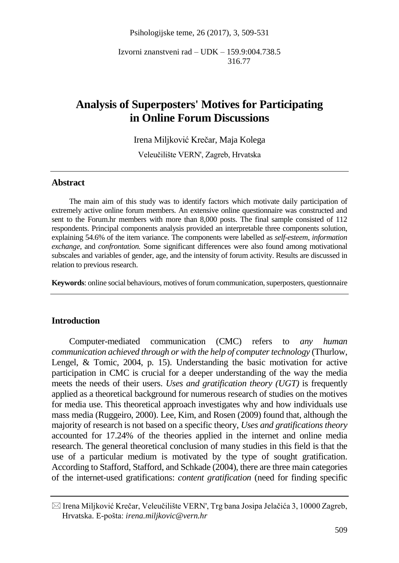Psihologijske teme, 26 (2017), 3, 509-531

Izvorni znanstveni rad – UDK – 159.9:004.738.5 316.77

# **Analysis of Superposters' Motives for Participating in Online Forum Discussions**

Irena Miljković Krečar, Maja Kolega Veleučilište VERN', Zagreb, Hrvatska

### **Abstract**

The main aim of this study was to identify factors which motivate daily participation of extremely active online forum members. An extensive online questionnaire was constructed and sent to the Forum.hr members with more than 8,000 posts. The final sample consisted of 112 respondents. Principal components analysis provided an interpretable three components solution, explaining 54.6% of the item variance. The components were labelled as *self-esteem*, *information exchange*, and *confrontation.* Some significant differences were also found among motivational subscales and variables of gender, age, and the intensity of forum activity. Results are discussed in relation to previous research.

**Keywords**: online social behaviours, motives of forum communication, superposters, questionnaire

### **Introduction**

Computer-mediated communication (CMC) refers to *any human communication achieved through or with the help of computer technology* (Thurlow, Lengel, & Tomic, 2004, p. 15). Understanding the basic motivation for active participation in CMC is crucial for a deeper understanding of the way the media meets the needs of their users. *Uses and gratification theory (UGT)* is frequently applied as a theoretical background for numerous research of studies on the motives for media use. This theoretical approach investigates why and how individuals use mass media (Ruggeiro, 2000). Lee, Kim, and Rosen (2009) found that, although the majority of research is not based on a specific theory, *Uses and gratifications theory* accounted for 17.24% of the theories applied in the internet and online media research. The general theoretical conclusion of many studies in this field is that the use of a particular medium is motivated by the type of sought gratification. According to Stafford, Stafford, and Schkade (2004), there are three main categories of the internet-used gratifications: *content gratification* (need for finding specific

 $\boxtimes$  Irena Miljković Krečar, Veleučilište VERN', Trg bana Josipa Jelačića 3, 10000 Zagreb, Hrvatska. E-pošta: *irena.miljkovic@vern.hr*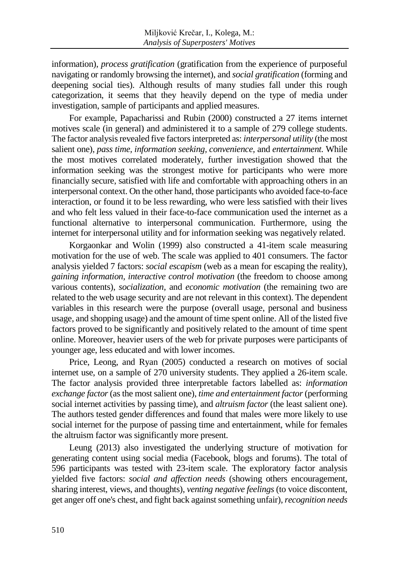information), *process gratification* (gratification from the experience of purposeful navigating or randomly browsing the internet), and *social gratification* (forming and deepening social ties). Although results of many studies fall under this rough categorization, it seems that they heavily depend on the type of media under investigation, sample of participants and applied measures.

For example, Papacharissi and Rubin (2000) constructed a 27 items internet motives scale (in general) and administered it to a sample of 279 college students. The factor analysis revealed five factorsinterpreted as: *interpersonal utility* (the most salient one), *pass time, information seeking, convenience,* and *entertainment.* While the most motives correlated moderately, further investigation showed that the information seeking was the strongest motive for participants who were more financially secure, satisfied with life and comfortable with approaching others in an interpersonal context. On the other hand, those participants who avoided face-to-face interaction, or found it to be less rewarding, who were less satisfied with their lives and who felt less valued in their face-to-face communication used the internet as a functional alternative to interpersonal communication. Furthermore, using the internet for interpersonal utility and for information seeking was negatively related.

Korgaonkar and Wolin (1999) also constructed a 41-item scale measuring motivation for the use of web. The scale was applied to 401 consumers. The factor analysis yielded 7 factors: *social escapism* (web as a mean for escaping the reality), *gaining information, interactive control motivation* (the freedom to choose among various contents), *socialization,* and *economic motivation* (the remaining two are related to the web usage security and are not relevant in this context). The dependent variables in this research were the purpose (overall usage, personal and business usage, and shopping usage) and the amount of time spent online. All of the listed five factors proved to be significantly and positively related to the amount of time spent online. Moreover, heavier users of the web for private purposes were participants of younger age, less educated and with lower incomes.

Price, Leong, and Ryan (2005) conducted a research on motives of social internet use, on a sample of 270 university students. They applied a 26-item scale. The factor analysis provided three interpretable factors labelled as: *information exchange factor* (as the most salient one), *time and entertainment factor*(performing social internet activities by passing time), and *altruism factor* (the least salient one). The authors tested gender differences and found that males were more likely to use social internet for the purpose of passing time and entertainment, while for females the altruism factor was significantly more present.

Leung (2013) also investigated the underlying structure of motivation for generating content using social media (Facebook, blogs and forums). The total of 596 participants was tested with 23-item scale. The exploratory factor analysis yielded five factors: *social and affection needs* (showing others encouragement, sharing interest, views, and thoughts), *venting negative feelings* (to voice discontent, get anger off one's chest, and fight back against something unfair),*recognition needs*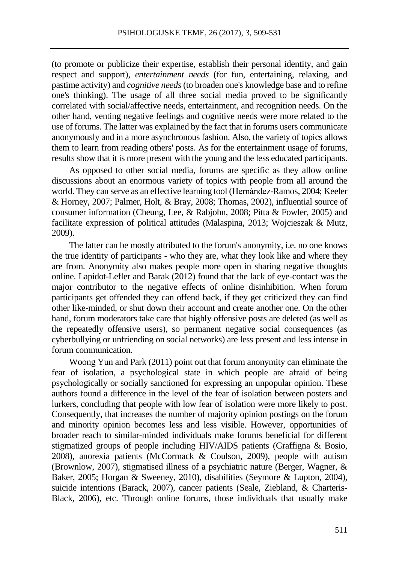(to promote or publicize their expertise, establish their personal identity, and gain respect and support), *entertainment needs* (for fun, entertaining, relaxing, and pastime activity) and *cognitive needs* (to broaden one's knowledge base and to refine one's thinking). The usage of all three social media proved to be significantly correlated with social/affective needs, entertainment, and recognition needs. On the other hand, venting negative feelings and cognitive needs were more related to the use of forums. The latter was explained by the fact that in forums users communicate anonymously and in a more asynchronous fashion. Also, the variety of topics allows them to learn from reading others' posts. As for the entertainment usage of forums, results show that it is more present with the young and the less educated participants.

As opposed to other social media, forums are specific as they allow online discussions about an enormous variety of topics with people from all around the world. They can serve as an effective learning tool (Hernández-Ramos, 2004; Keeler & Horney, 2007; Palmer, Holt, & Bray, 2008; Thomas, 2002), influential source of consumer information (Cheung, Lee, & Rabjohn, 2008; Pitta & Fowler, 2005) and facilitate expression of political attitudes (Malaspina, 2013; Wojcieszak & Mutz, 2009).

The latter can be mostly attributed to the forum's anonymity, i.e. no one knows the true identity of participants - who they are, what they look like and where they are from. Anonymity also makes people more open in sharing negative thoughts online. Lapidot-Lefler and Barak (2012) found that the lack of eye-contact was the major contributor to the negative effects of online disinhibition. When forum participants get offended they can offend back, if they get criticized they can find other like-minded, or shut down their account and create another one. On the other hand, forum moderators take care that highly offensive posts are deleted (as well as the repeatedly offensive users), so permanent negative social consequences (as cyberbullying or unfriending on social networks) are less present and less intense in forum communication.

Woong Yun and Park (2011) point out that forum anonymity can eliminate the fear of isolation, a psychological state in which people are afraid of being psychologically or socially sanctioned for expressing an unpopular opinion. These authors found a difference in the level of the fear of isolation between posters and lurkers, concluding that people with low fear of isolation were more likely to post. Consequently, that increases the number of majority opinion postings on the forum and minority opinion becomes less and less visible. However, opportunities of broader reach to similar-minded individuals make forums beneficial for different stigmatized groups of people including HIV/AIDS patients (Graffigna & Bosio, 2008), anorexia patients (McCormack & Coulson, 2009), people with autism (Brownlow, 2007), stigmatised illness of a psychiatric nature (Berger, Wagner, & Baker, 2005; Horgan & Sweeney, 2010), disabilities (Seymore & Lupton, 2004), suicide intentions (Barack, 2007), cancer patients (Seale, Ziebland, & Charteris-Black, 2006), etc. Through online forums, those individuals that usually make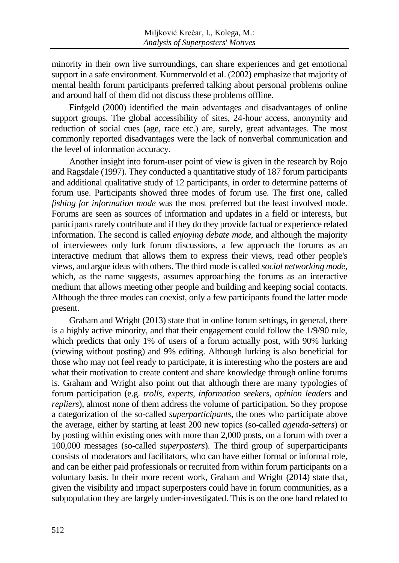minority in their own live surroundings, can share experiences and get emotional support in a safe environment. Kummervold et al. (2002) emphasize that majority of mental health forum participants preferred talking about personal problems online and around half of them did not discuss these problems offline.

Finfgeld (2000) identified the main advantages and disadvantages of online support groups. The global accessibility of sites, 24-hour access, anonymity and reduction of social cues (age, race etc.) are, surely, great advantages. The most commonly reported disadvantages were the lack of nonverbal communication and the level of information accuracy.

Another insight into forum-user point of view is given in the research by Rojo and Ragsdale (1997). They conducted a quantitative study of 187 forum participants and additional qualitative study of 12 participants, in order to determine patterns of forum use. Participants showed three modes of forum use. The first one, called *fishing for information mode* was the most preferred but the least involved mode. Forums are seen as sources of information and updates in a field or interests, but participants rarely contribute and if they do they provide factual or experience related information. The second is called *enjoying debate mode*, and although the majority of interviewees only lurk forum discussions, a few approach the forums as an interactive medium that allows them to express their views, read other people's views, and argue ideas with others. The third mode is called *social networking mode*, which, as the name suggests, assumes approaching the forums as an interactive medium that allows meeting other people and building and keeping social contacts. Although the three modes can coexist, only a few participants found the latter mode present.

Graham and Wright (2013) state that in online forum settings, in general, there is a highly active minority, and that their engagement could follow the 1/9/90 rule, which predicts that only 1% of users of a forum actually post, with 90% lurking (viewing without posting) and 9% editing. Although lurking is also beneficial for those who may not feel ready to participate, it is interesting who the posters are and what their motivation to create content and share knowledge through online forums is. Graham and Wright also point out that although there are many typologies of forum participation (e.g. *trolls*, *experts*, *information seekers*, *opinion leaders* and *repliers*), almost none of them address the volume of participation. So they propose a categorization of the so-called *superparticipants*, the ones who participate above the average, either by starting at least 200 new topics (so-called *agenda-setters*) or by posting within existing ones with more than 2,000 posts, on a forum with over a 100,000 messages (so-called *superposters*). The third group of superparticipants consists of moderators and facilitators, who can have either formal or informal role, and can be either paid professionals or recruited from within forum participants on a voluntary basis. In their more recent work, Graham and Wright (2014) state that, given the visibility and impact superposters could have in forum communities, as a subpopulation they are largely under-investigated. This is on the one hand related to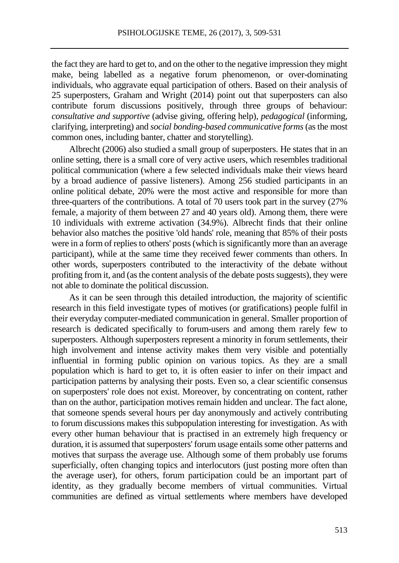the fact they are hard to get to, and on the other to the negative impression they might make, being labelled as a negative forum phenomenon, or over-dominating individuals, who aggravate equal participation of others. Based on their analysis of 25 superposters, Graham and Wright (2014) point out that superposters can also contribute forum discussions positively, through three groups of behaviour: *consultative and supportive* (advise giving, offering help), *pedagogical* (informing, clarifying, interpreting) and *social bonding-based communicative forms* (as the most common ones, including banter, chatter and storytelling).

Albrecht (2006) also studied a small group of superposters. He states that in an online setting, there is a small core of very active users, which resembles traditional political communication (where a few selected individuals make their views heard by a broad audience of passive listeners). Among 256 studied participants in an online political debate, 20% were the most active and responsible for more than three-quarters of the contributions. A total of 70 users took part in the survey (27% female, a majority of them between 27 and 40 years old). Among them, there were 10 individuals with extreme activation (34.9%). Albrecht finds that their online behavior also matches the positive 'old hands' role, meaning that 85% of their posts were in a form of replies to others' posts (which is significantly more than an average participant), while at the same time they received fewer comments than others. In other words, superposters contributed to the interactivity of the debate without profiting from it, and (as the content analysis of the debate posts suggests), they were not able to dominate the political discussion.

As it can be seen through this detailed introduction, the majority of scientific research in this field investigate types of motives (or gratifications) people fulfil in their everyday computer-mediated communication in general. Smaller proportion of research is dedicated specifically to forum-users and among them rarely few to superposters. Although superposters represent a minority in forum settlements, their high involvement and intense activity makes them very visible and potentially influential in forming public opinion on various topics. As they are a small population which is hard to get to, it is often easier to infer on their impact and participation patterns by analysing their posts. Even so, a clear scientific consensus on superposters' role does not exist. Moreover, by concentrating on content, rather than on the author, participation motives remain hidden and unclear. The fact alone, that someone spends several hours per day anonymously and actively contributing to forum discussions makes this subpopulation interesting for investigation. As with every other human behaviour that is practised in an extremely high frequency or duration, it is assumed that superposters' forum usage entails some other patterns and motives that surpass the average use. Although some of them probably use forums superficially, often changing topics and interlocutors (just posting more often than the average user), for others, forum participation could be an important part of identity, as they gradually become members of virtual communities. Virtual communities are defined as virtual settlements where members have developed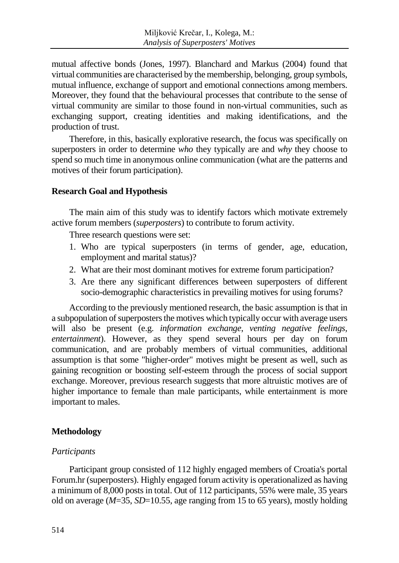mutual affective bonds (Jones, 1997). Blanchard and Markus (2004) found that virtual communities are characterised by the membership, belonging, group symbols, mutual influence, exchange of support and emotional connections among members. Moreover, they found that the behavioural processes that contribute to the sense of virtual community are similar to those found in non-virtual communities, such as exchanging support, creating identities and making identifications, and the production of trust.

Therefore, in this, basically explorative research, the focus was specifically on superposters in order to determine *who* they typically are and *why* they choose to spend so much time in anonymous online communication (what are the patterns and motives of their forum participation).

### **Research Goal and Hypothesis**

The main aim of this study was to identify factors which motivate extremely active forum members (*superposters*) to contribute to forum activity.

Three research questions were set:

- 1. Who are typical superposters (in terms of gender, age, education, employment and marital status)?
- 2. What are their most dominant motives for extreme forum participation?
- 3. Are there any significant differences between superposters of different socio-demographic characteristics in prevailing motives for using forums?

According to the previously mentioned research, the basic assumption is that in a subpopulation of superposters the motives which typically occur with average users will also be present (e.g. *information exchange*, *venting negative feelings, entertainment*). However, as they spend several hours per day on forum communication, and are probably members of virtual communities, additional assumption is that some "higher-order" motives might be present as well, such as gaining recognition or boosting self-esteem through the process of social support exchange. Moreover, previous research suggests that more altruistic motives are of higher importance to female than male participants, while entertainment is more important to males.

### **Methodology**

### *Participants*

Participant group consisted of 112 highly engaged members of Croatia's portal Forum.hr (superposters). Highly engaged forum activity is operationalized as having a minimum of 8,000 posts in total. Out of 112 participants, 55% were male, 35 years old on average (*M*=35, *SD*=10.55, age ranging from 15 to 65 years), mostly holding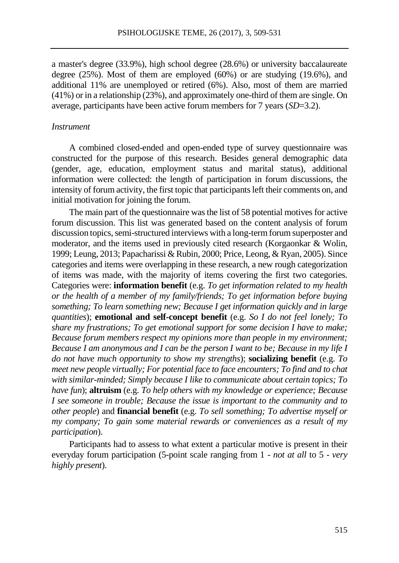a master's degree (33.9%), high school degree (28.6%) or university baccalaureate degree  $(25\%)$ . Most of them are employed  $(60\%)$  or are studying  $(19.6\%)$ , and additional 11% are unemployed or retired (6%). Also, most of them are married (41%) or in a relationship (23%), and approximately one-third of them are single. On average, participants have been active forum members for 7 years (*SD*=3.2).

#### *Instrument*

A combined closed-ended and open-ended type of survey questionnaire was constructed for the purpose of this research. Besides general demographic data (gender, age, education, employment status and marital status), additional information were collected: the length of participation in forum discussions, the intensity of forum activity, the first topic that participants left their comments on, and initial motivation for joining the forum.

The main part of the questionnaire was the list of 58 potential motives for active forum discussion. This list was generated based on the content analysis of forum discussion topics, semi-structured interviews with a long-term forum superposter and moderator, and the items used in previously cited research (Korgaonkar & Wolin, 1999; Leung, 2013; Papacharissi & Rubin, 2000; Price, Leong, & Ryan, 2005). Since categories and items were overlapping in these research, a new rough categorization of items was made, with the majority of items covering the first two categories. Categories were: **information benefit** (e.g. *To get information related to my health or the health of a member of my family/friends; To get information before buying something; To learn something new; Because I get information quickly and in large quantities*); **emotional and self-concept benefit** (e.g. *So I do not feel lonely; To share my frustrations; To get emotional support for some decision I have to make; Because forum members respect my opinions more than people in my environment; Because I am anonymous and I can be the person I want to be; Because in my life I do not have much opportunity to show my strengths*); **socializing benefit** (e.g. *To meet new people virtually; For potential face to face encounters; To find and to chat with similar-minded; Simply because I like to communicate about certain topics; To have fun*); **altruism** (e.g. *To help others with my knowledge or experience; Because I see someone in trouble; Because the issue is important to the community and to other people*) and **financial benefit** (e.g. *To sell something; To advertise myself or my company; To gain some material rewards or conveniences as a result of my participation*).

Participants had to assess to what extent a particular motive is present in their everyday forum participation (5-point scale ranging from 1 - *not at all* to 5 - *very highly present*).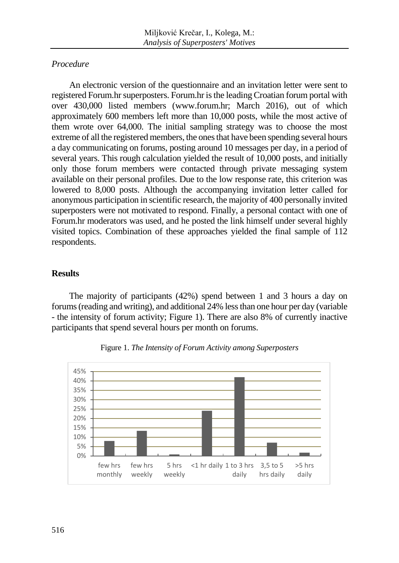## *Procedure*

An electronic version of the questionnaire and an invitation letter were sent to registered Forum.hr superposters. Forum.hr is the leading Croatian forum portal with over 430,000 listed members (www.forum.hr; March 2016), out of which approximately 600 members left more than 10,000 posts, while the most active of them wrote over 64,000. The initial sampling strategy was to choose the most extreme of all the registered members, the ones that have been spending several hours a day communicating on forums, posting around 10 messages per day, in a period of several years. This rough calculation yielded the result of 10,000 posts, and initially only those forum members were contacted through private messaging system available on their personal profiles. Due to the low response rate, this criterion was lowered to 8,000 posts. Although the accompanying invitation letter called for anonymous participation in scientific research, the majority of 400 personally invited superposters were not motivated to respond. Finally, a personal contact with one of Forum.hr moderators was used, and he posted the link himself under several highly visited topics. Combination of these approaches yielded the final sample of 112 respondents.

## **Results**

The majority of participants (42%) spend between 1 and 3 hours a day on forums (reading and writing), and additional 24% less than one hour per day (variable - the intensity of forum activity; Figure 1). There are also 8% of currently inactive participants that spend several hours per month on forums.



Figure 1. *The Intensity of Forum Activity among Superposters*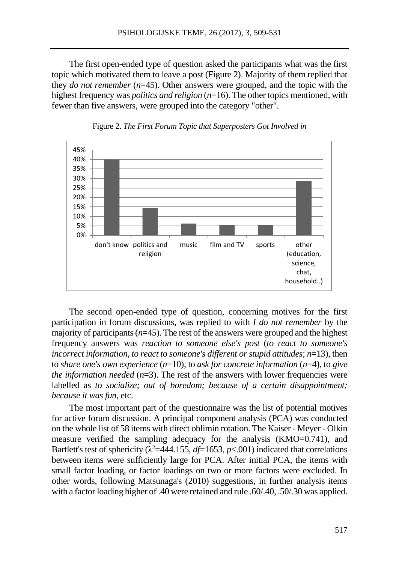The first open-ended type of question asked the participants what was the first topic which motivated them to leave a post (Figure 2). Majority of them replied that they *do not remember* (*n*=45). Other answers were grouped, and the topic with the highest frequency was *politics and religion* (*n*=16). The other topics mentioned, with fewer than five answers, were grouped into the category "other".





The second open-ended type of question, concerning motives for the first participation in forum discussions, was replied to with *I do not remember* by the majority of participants  $(n=45)$ . The rest of the answers were grouped and the highest frequency answers was *reaction to someone else's post* (*to react to someone's incorrect information, to react to someone's different or stupid attitudes*; *n*=13), then to *share one's own experience* (*n*=10), to *ask for concrete information* (*n*=4), to *give the information needed*  $(n=3)$ . The rest of the answers with lower frequencies were labelled as *to socialize; out of boredom; because of a certain disappointment; because it was fun,* etc.

The most important part of the questionnaire was the list of potential motives for active forum discussion. A principal component analysis (PCA) was conducted on the whole list of 58 items with direct oblimin rotation. The Kaiser - Meyer - Olkin measure verified the sampling adequacy for the analysis (KMO=0.741), and Bartlett's test of sphericity ( $\lambda^2 = 444.155$ ,  $df = 1653$ ,  $p < .001$ ) indicated that correlations between items were sufficiently large for PCA. After initial PCA, the items with small factor loading, or factor loadings on two or more factors were excluded. In other words, following Matsunaga's (2010) suggestions, in further analysis items with a factor loading higher of .40 were retained and rule .60/.40, .50/.30 was applied.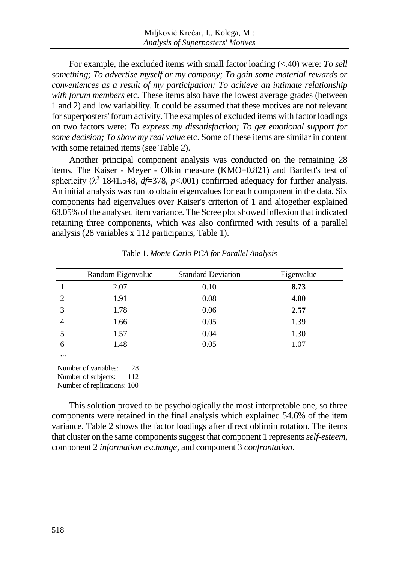For example, the excluded items with small factor loading (<.40) were: *To sell something; To advertise myself or my company; To gain some material rewards or conveniences as a result of my participation; To achieve an intimate relationship with forum members* etc. These items also have the lowest average grades (between 1 and 2) and low variability. It could be assumed that these motives are not relevant for superposters'forum activity. The examples of excluded items with factor loadings on two factors were: *To express my dissatisfaction; To get emotional support for some decision; To show my real value* etc. Some of these items are similar in content with some retained items (see Table 2).

Another principal component analysis was conducted on the remaining 28 items. The Kaiser - Meyer - Olkin measure (KMO=0.821) and Bartlett's test of sphericity ( $\lambda^2$ =1841.548,  $df$ =378, *p*<.001) confirmed adequacy for further analysis. An initial analysis was run to obtain eigenvalues for each component in the data. Six components had eigenvalues over Kaiser's criterion of 1 and altogether explained 68.05% of the analysed item variance. The Scree plot showed inflexion that indicated retaining three components, which was also confirmed with results of a parallel analysis (28 variables x 112 participants, Table 1).

|          | Random Eigenvalue | <b>Standard Deviation</b> | Eigenvalue |
|----------|-------------------|---------------------------|------------|
|          | 2.07              | 0.10                      | 8.73       |
| 2        | 1.91              | 0.08                      | 4.00       |
| 3        | 1.78              | 0.06                      | 2.57       |
|          | 1.66              | 0.05                      | 1.39       |
|          | 1.57              | 0.04                      | 1.30       |
| 6        | 1.48              | 0.05                      | 1.07       |
| $\cdots$ |                   |                           |            |

Table 1. *Monte Carlo PCA for Parallel Analysis*

Number of variables: 28

Number of subjects: 112

Number of replications: 100

This solution proved to be psychologically the most interpretable one, so three components were retained in the final analysis which explained 54.6% of the item variance. Table 2 shows the factor loadings after direct oblimin rotation. The items that cluster on the same components suggest that component 1 represents*self-esteem*, component 2 *information exchange*, and component 3 *confrontation*.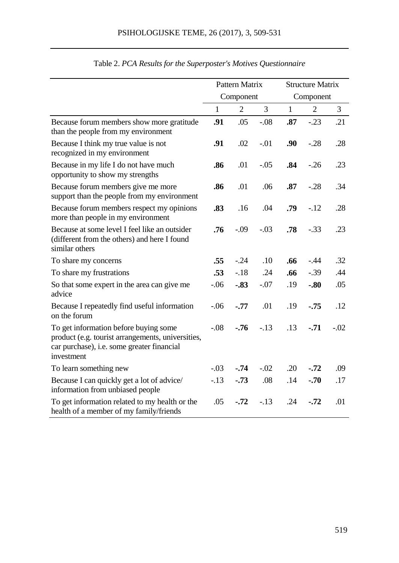|                                                                                                                                                        | Pattern Matrix |                | <b>Structure Matrix</b> |              |                |        |
|--------------------------------------------------------------------------------------------------------------------------------------------------------|----------------|----------------|-------------------------|--------------|----------------|--------|
|                                                                                                                                                        | Component      |                | Component               |              |                |        |
|                                                                                                                                                        | $\mathbf{1}$   | $\overline{2}$ | 3                       | $\mathbf{1}$ | $\overline{2}$ | 3      |
| Because forum members show more gratitude<br>than the people from my environment                                                                       | .91            | .05            | $-.08$                  | .87          | $-.23$         | .21    |
| Because I think my true value is not<br>recognized in my environment                                                                                   | .91            | .02            | $-.01$                  | .90          | $-.28$         | .28    |
| Because in my life I do not have much<br>opportunity to show my strengths                                                                              | .86            | .01            | $-.05$                  | .84          | $-.26$         | .23    |
| Because forum members give me more<br>support than the people from my environment                                                                      | .86            | .01            | .06                     | .87          | $-.28$         | .34    |
| Because forum members respect my opinions<br>more than people in my environment                                                                        | .83            | .16            | .04                     | .79          | $-.12$         | .28    |
| Because at some level I feel like an outsider<br>(different from the others) and here I found<br>similar others                                        | .76            | $-.09$         | $-.03$                  | .78          | $-.33$         | .23    |
| To share my concerns                                                                                                                                   | .55            | $-.24$         | .10                     | .66          | $-.44$         | .32    |
| To share my frustrations                                                                                                                               | .53            | $-.18$         | .24                     | .66          | $-.39$         | .44    |
| So that some expert in the area can give me<br>advice                                                                                                  | $-.06$         | $-.83$         | $-.07$                  | .19          | $-.80$         | .05    |
| Because I repeatedly find useful information<br>on the forum                                                                                           | $-.06$         | $-.77$         | .01                     | .19          | $-.75$         | .12    |
| To get information before buying some<br>product (e.g. tourist arrangements, universities,<br>car purchase), i.e. some greater financial<br>investment | $-.08$         | $-.76$         | $-.13$                  | .13          | $-71$          | $-.02$ |
| To learn something new                                                                                                                                 | $-.03$         | $-.74$         | $-.02$                  | .20          | $-72$          | .09    |
| Because I can quickly get a lot of advice/<br>information from unbiased people                                                                         | $-.13$         | $-73$          | .08                     | .14          | $-.70$         | .17    |
| To get information related to my health or the<br>health of a member of my family/friends                                                              | .05            | $-.72$         | $-.13$                  | .24          | $-.72$         | .01    |

## Table 2. *PCA Results for the Superposter's Motives Questionnaire*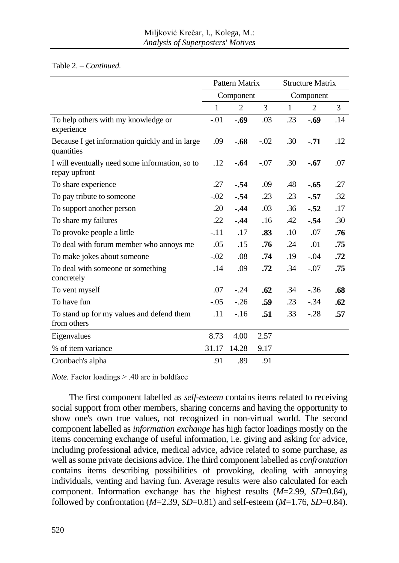### Table 2. – *Continued.*

|                                                                 | Pattern Matrix |                | <b>Structure Matrix</b> |              |        |     |
|-----------------------------------------------------------------|----------------|----------------|-------------------------|--------------|--------|-----|
|                                                                 | Component      |                | Component               |              |        |     |
|                                                                 | $\mathbf{1}$   | $\overline{2}$ | 3                       | $\mathbf{1}$ | 2      | 3   |
| To help others with my knowledge or<br>experience               | $-.01$         | $-.69$         | .03                     | .23          | $-.69$ | .14 |
| Because I get information quickly and in large<br>quantities    | .09            | $-.68$         | $-.02$                  | .30          | $-.71$ | .12 |
| I will eventually need some information, so to<br>repay upfront | .12            | $-.64$         | $-.07$                  | .30          | $-.67$ | .07 |
| To share experience                                             | .27            | $-54$          | .09                     | .48          | $-.65$ | .27 |
| To pay tribute to someone                                       | $-.02$         | $-54$          | .23                     | .23          | -.57   | .32 |
| To support another person                                       | .20            | $-44$          | .03                     | .36          | $-.52$ | .17 |
| To share my failures                                            | .22            | $-44$          | .16                     | .42          | $-.54$ | .30 |
| To provoke people a little                                      | $-.11$         | .17            | .83                     | .10          | .07    | .76 |
| To deal with forum member who annoys me                         | .05            | .15            | .76                     | .24          | .01    | .75 |
| To make jokes about someone                                     | $-.02$         | .08            | .74                     | .19          | $-.04$ | .72 |
| To deal with someone or something<br>concretely                 | .14            | .09            | .72                     | .34          | $-.07$ | .75 |
| To vent myself                                                  | .07            | $-.24$         | .62                     | .34          | $-.36$ | .68 |
| To have fun                                                     | $-.05$         | $-26$          | .59                     | .23          | $-.34$ | .62 |
| To stand up for my values and defend them<br>from others        | .11            | $-16$          | .51                     | .33          | $-.28$ | .57 |
| Eigenvalues                                                     | 8.73           | 4.00           | 2.57                    |              |        |     |
| % of item variance                                              | 31.17          | 14.28          | 9.17                    |              |        |     |
| Cronbach's alpha                                                | .91            | .89            | .91                     |              |        |     |

*Note.* Factor loadings > .40 are in boldface

The first component labelled as *self-esteem* contains items related to receiving social support from other members, sharing concerns and having the opportunity to show one's own true values, not recognized in non-virtual world. The second component labelled as *information exchange* has high factor loadings mostly on the items concerning exchange of useful information, i.e. giving and asking for advice, including professional advice, medical advice, advice related to some purchase, as well as some private decisions advice. The third component labelled as *confrontation* contains items describing possibilities of provoking, dealing with annoying individuals, venting and having fun. Average results were also calculated for each component. Information exchange has the highest results (*M*=2.99, *SD*=0.84), followed by confrontation  $(M=2.39, SD=0.81)$  and self-esteem  $(M=1.76, SD=0.84)$ .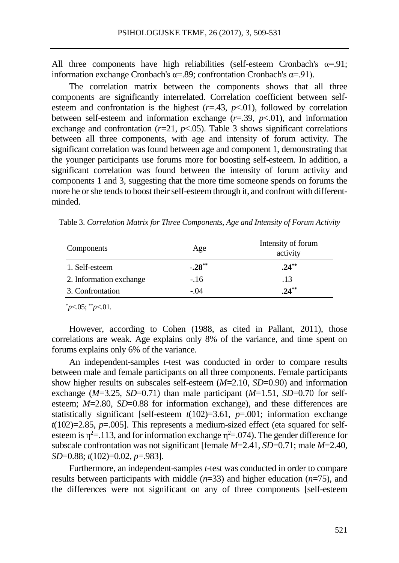All three components have high reliabilities (self-esteem Cronbach's  $\alpha = -91$ ; information exchange Cronbach's  $\alpha$ =.89; confrontation Cronbach's  $\alpha$ =.91).

The correlation matrix between the components shows that all three components are significantly interrelated. Correlation coefficient between selfesteem and confrontation is the highest  $(r=43, p<.01)$ , followed by correlation between self-esteem and information exchange  $(r=0.39, p<0.01)$ , and information exchange and confrontation  $(r=21, p<0.05)$ . Table 3 shows significant correlations between all three components, with age and intensity of forum activity. The significant correlation was found between age and component 1, demonstrating that the younger participants use forums more for boosting self-esteem. In addition, a significant correlation was found between the intensity of forum activity and components 1 and 3, suggesting that the more time someone spends on forums the more he or she tends to boost their self-esteem through it, and confront with differentminded.

Table 3. *Correlation Matrix for Three Components, Age and Intensity of Forum Activity*

| Components              | Age       | Intensity of forum<br>activity |  |  |
|-------------------------|-----------|--------------------------------|--|--|
| 1. Self-esteem          | $-.28***$ | $.24***$                       |  |  |
| 2. Information exchange | $-.16$    | .13                            |  |  |
| 3. Confrontation        | $-.04$    | $.24***$                       |  |  |

\**p*<.05; \*\**p*<.01.

However, according to Cohen (1988, as cited in Pallant, 2011), those correlations are weak. Age explains only 8% of the variance, and time spent on forums explains only 6% of the variance.

An independent-samples *t-*test was conducted in order to compare results between male and female participants on all three components. Female participants show higher results on subscales self-esteem (*M*=2.10, *SD*=0.90) and information exchange  $(M=3.25, SD=0.71)$  than male participant  $(M=1.51, SD=0.70$  for selfesteem;  $M=2.80$ ,  $SD=0.88$  for information exchange), and these differences are statistically significant [self-esteem  $t(102)=3.61$ ,  $p=.001$ ; information exchange  $t(102)=2.85$ ,  $p=.005$ ]. This represents a medium-sized effect (eta squared for selfesteem is  $\eta^2 = 113$ , and for information exchange  $\eta^2 = 074$ ). The gender difference for subscale confrontation was not significant [female *M*=2.41, *SD*=0.71; male *M*=2.40, *SD*=0.88; *t*(102)=0.02, *p*=.983].

Furthermore, an independent-samples *t*-test was conducted in order to compare results between participants with middle (*n*=33) and higher education (*n*=75), and the differences were not significant on any of three components [self-esteem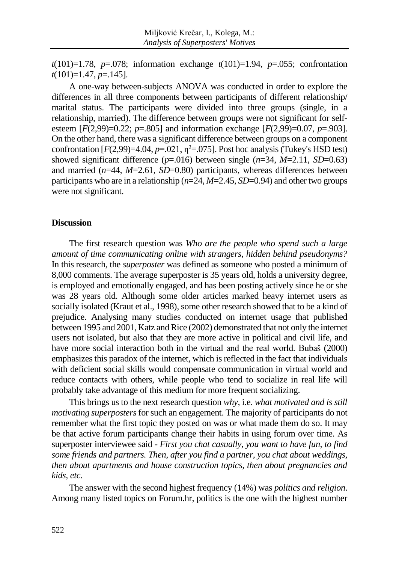*t*(101)=1.78, *p*=.078; information exchange *t*(101)=1.94, *p*=.055; confrontation *t*(101)=1.47, *p*=.145].

A one-way between-subjects ANOVA was conducted in order to explore the differences in all three components between participants of different relationship/ marital status. The participants were divided into three groups (single, in a relationship, married). The difference between groups were not significant for selfesteem  $[F(2,99)=0.22; p=.805]$  and information exchange  $[F(2,99)=0.07, p=.903]$ . On the other hand, there was a significant difference between groups on a component confrontation  $[F(2,99)=4.04, p=.021, \eta^2=.075]$ . Post hoc analysis (Tukey's HSD test) showed significant difference  $(p=0.016)$  between single  $(n=34, M=2.11, SD=0.63)$ and married (*n*=44, *M*=2.61, *SD*=0.80) participants, whereas differences between participants who are in a relationship  $(n=24, M=2.45, SD=0.94)$  and other two groups were not significant.

### **Discussion**

The first research question was *Who are the people who spend such a large amount of time communicating online with strangers, hidden behind pseudonyms?*  In this research, the *superposter* was defined as someone who posted a minimum of 8,000 comments. The average superposter is 35 years old, holds a university degree, is employed and emotionally engaged, and has been posting actively since he or she was 28 years old. Although some older articles marked heavy internet users as socially isolated (Kraut et al., 1998), some other research showed that to be a kind of prejudice. Analysing many studies conducted on internet usage that published between 1995 and 2001, Katz and Rice (2002) demonstrated that not only the internet users not isolated, but also that they are more active in political and civil life, and have more social interaction both in the virtual and the real world. Bubaš (2000) emphasizes this paradox of the internet, which is reflected in the fact that individuals with deficient social skills would compensate communication in virtual world and reduce contacts with others, while people who tend to socialize in real life will probably take advantage of this medium for more frequent socializing.

This brings us to the next research question *why,* i.e. *what motivated and is still motivating superposters* for such an engagement. The majority of participants do not remember what the first topic they posted on was or what made them do so. It may be that active forum participants change their habits in using forum over time. As superposter interviewee said - *First you chat casually, you want to have fun, to find some friends and partners. Then, after you find a partner, you chat about weddings, then about apartments and house construction topics, then about pregnancies and kids, etc.*

The answer with the second highest frequency (14%) was *politics and religion*. Among many listed topics on Forum.hr, politics is the one with the highest number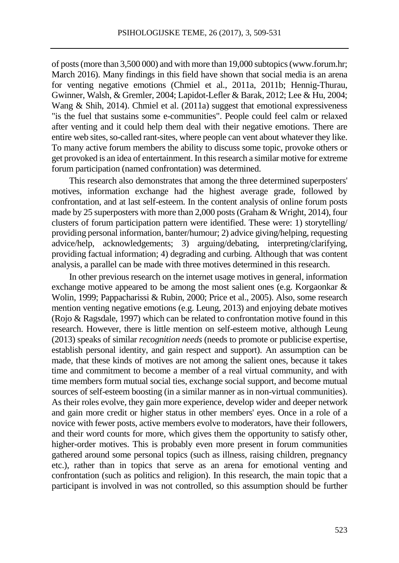of posts (more than 3,500 000) and with more than 19,000 subtopics (www.forum.hr; March 2016). Many findings in this field have shown that social media is an arena for venting negative emotions (Chmiel et al., 2011a, 2011b; Hennig-Thurau, Gwinner, Walsh, & Gremler, 2004; Lapidot-Lefler & Barak, 2012; Lee & Hu, 2004; Wang & Shih, 2014). Chmiel et al. (2011a) suggest that emotional expressiveness "is the fuel that sustains some e-communities". People could feel calm or relaxed after venting and it could help them deal with their negative emotions. There are entire web sites, so-called rant-sites, where people can vent about whatever they like. To many active forum members the ability to discuss some topic, provoke others or get provoked is an idea of entertainment. In this research a similar motive for extreme forum participation (named confrontation) was determined.

This research also demonstrates that among the three determined superposters' motives, information exchange had the highest average grade, followed by confrontation, and at last self-esteem. In the content analysis of online forum posts made by 25 superposters with more than 2,000 posts (Graham & Wright, 2014), four clusters of forum participation pattern were identified. These were: 1) storytelling/ providing personal information, banter/humour; 2) advice giving/helping, requesting advice/help, acknowledgements; 3) arguing/debating, interpreting/clarifying, providing factual information; 4) degrading and curbing. Although that was content analysis, a parallel can be made with three motives determined in this research.

In other previous research on the internet usage motives in general, information exchange motive appeared to be among the most salient ones (e.g. Korgaonkar & Wolin, 1999; Pappacharissi & Rubin, 2000; Price et al., 2005). Also, some research mention venting negative emotions (e.g. Leung, 2013) and enjoying debate motives (Rojo & Ragsdale, 1997) which can be related to confrontation motive found in this research. However, there is little mention on self-esteem motive, although Leung (2013) speaks of similar *recognition needs* (needs to promote or publicise expertise, establish personal identity, and gain respect and support). An assumption can be made, that these kinds of motives are not among the salient ones, because it takes time and commitment to become a member of a real virtual community, and with time members form mutual social ties, exchange social support, and become mutual sources of self-esteem boosting (in a similar manner as in non-virtual communities). As their roles evolve, they gain more experience, develop wider and deeper network and gain more credit or higher status in other members' eyes. Once in a role of a novice with fewer posts, active members evolve to moderators, have their followers, and their word counts for more, which gives them the opportunity to satisfy other, higher-order motives. This is probably even more present in forum communities gathered around some personal topics (such as illness, raising children, pregnancy etc.), rather than in topics that serve as an arena for emotional venting and confrontation (such as politics and religion). In this research, the main topic that a participant is involved in was not controlled, so this assumption should be further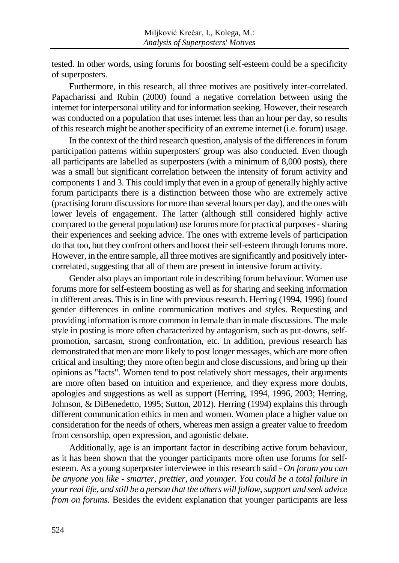tested. In other words, using forums for boosting self-esteem could be a specificity of superposters.

Furthermore, in this research, all three motives are positively inter-correlated. Papacharissi and Rubin (2000) found a negative correlation between using the internet for interpersonal utility and for information seeking. However, their research was conducted on a population that uses internet less than an hour per day, so results of this research might be another specificity of an extreme internet (i.e. forum) usage.

In the context of the third research question, analysis of the differences in forum participation patterns within superposters' group was also conducted. Even though all participants are labelled as superposters (with a minimum of 8,000 posts), there was a small but significant correlation between the intensity of forum activity and components 1 and 3. This could imply that even in a group of generally highly active forum participants there is a distinction between those who are extremely active (practising forum discussions for more than several hours per day), and the ones with lower levels of engagement. The latter (although still considered highly active compared to the general population) use forums more for practical purposes-sharing their experiences and seeking advice. The ones with extreme levels of participation do that too, but they confront others and boost their self-esteemthrough forums more. However, in the entire sample, all three motives are significantly and positively intercorrelated, suggesting that all of them are present in intensive forum activity.

Gender also plays an important role in describing forum behaviour. Women use forums more for self-esteem boosting as well as for sharing and seeking information in different areas. This is in line with previous research. Herring (1994, 1996) found gender differences in online communication motives and styles. Requesting and providing information is more common in female than in male discussions. The male style in posting is more often characterized by antagonism, such as put-downs, selfpromotion, sarcasm, strong confrontation, etc. In addition, previous research has demonstrated that men are more likely to post longer messages, which are more often critical and insulting; they more often begin and close discussions, and bring up their opinions as "facts". Women tend to post relatively short messages, their arguments are more often based on intuition and experience, and they express more doubts, apologies and suggestions as well as support (Herring, 1994, 1996, 2003; Herring, Johnson, & DiBenedetto, 1995; Sutton, 2012). Herring (1994) explains this through different communication ethics in men and women. Women place a higher value on consideration for the needs of others, whereas men assign a greater value to freedom from censorship, open expression, and agonistic debate.

Additionally, age is an important factor in describing active forum behaviour, as it has been shown that the younger participants more often use forums for selfesteem. As a young superposter interviewee in this research said - *On forum you can be anyone you like - smarter, prettier, and younger. You could be a total failure in your real life, and still be a person that the others will follow, support and seek advice from on forums*. Besides the evident explanation that younger participants are less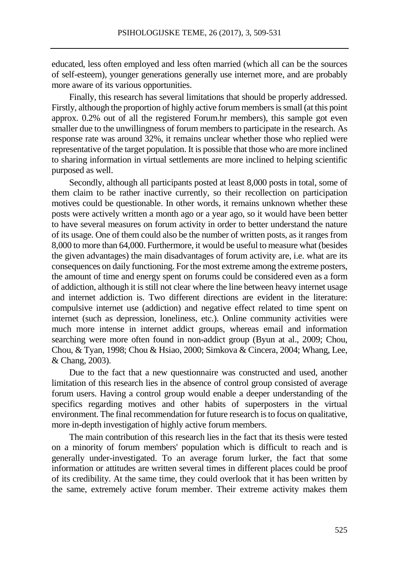educated, less often employed and less often married (which all can be the sources of self-esteem), younger generations generally use internet more, and are probably more aware of its various opportunities.

Finally, this research has several limitations that should be properly addressed. Firstly, although the proportion of highly active forum members is small (at this point approx. 0.2% out of all the registered Forum.hr members), this sample got even smaller due to the unwillingness of forum members to participate in the research. As response rate was around 32%, it remains unclear whether those who replied were representative of the target population. It is possible that those who are more inclined to sharing information in virtual settlements are more inclined to helping scientific purposed as well.

Secondly, although all participants posted at least 8,000 posts in total, some of them claim to be rather inactive currently, so their recollection on participation motives could be questionable. In other words, it remains unknown whether these posts were actively written a month ago or a year ago, so it would have been better to have several measures on forum activity in order to better understand the nature of its usage. One of them could also be the number of written posts, as it ranges from 8,000 to more than 64,000. Furthermore, it would be useful to measure what (besides the given advantages) the main disadvantages of forum activity are, i.e. what are its consequences on daily functioning. For the most extreme among the extreme posters, the amount of time and energy spent on forums could be considered even as a form of addiction, although it is still not clear where the line between heavy internet usage and internet addiction is. Two different directions are evident in the literature: compulsive internet use (addiction) and negative effect related to time spent on internet (such as depression, loneliness, etc.). Online community activities were much more intense in internet addict groups, whereas email and information searching were more often found in non-addict group (Byun at al., 2009; Chou, Chou, & Tyan, 1998; Chou & Hsiao, 2000; Simkova & Cincera, 2004; Whang, Lee, & Chang, 2003).

Due to the fact that a new questionnaire was constructed and used, another limitation of this research lies in the absence of control group consisted of average forum users. Having a control group would enable a deeper understanding of the specifics regarding motives and other habits of superposters in the virtual environment. The final recommendation for future research isto focus on qualitative, more in-depth investigation of highly active forum members.

The main contribution of this research lies in the fact that its thesis were tested on a minority of forum members' population which is difficult to reach and is generally under-investigated. To an average forum lurker, the fact that some information or attitudes are written several times in different places could be proof of its credibility. At the same time, they could overlook that it has been written by the same, extremely active forum member. Their extreme activity makes them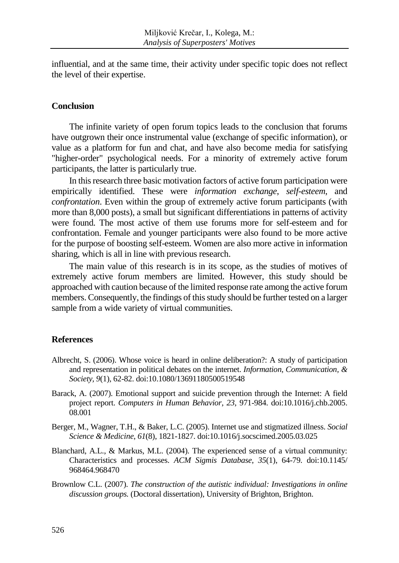influential, and at the same time, their activity under specific topic does not reflect the level of their expertise.

### **Conclusion**

The infinite variety of open forum topics leads to the conclusion that forums have outgrown their once instrumental value (exchange of specific information), or value as a platform for fun and chat, and have also become media for satisfying "higher-order" psychological needs. For a minority of extremely active forum participants, the latter is particularly true.

In this research three basic motivation factors of active forum participation were empirically identified. These were *information exchange*, *self-esteem*, and *confrontation*. Even within the group of extremely active forum participants (with more than 8,000 posts), a small but significant differentiations in patterns of activity were found. The most active of them use forums more for self-esteem and for confrontation. Female and younger participants were also found to be more active for the purpose of boosting self-esteem. Women are also more active in information sharing, which is all in line with previous research.

The main value of this research is in its scope, as the studies of motives of extremely active forum members are limited. However, this study should be approached with caution because of the limited response rate among the active forum members. Consequently, the findings of this study should be further tested on a larger sample from a wide variety of virtual communities.

### **References**

- Albrecht, S. (2006). Whose voice is heard in online deliberation?: A study of participation and representation in political debates on the internet. *Information, Communication, & Society, 9*(1)*,* 62-82. doi:10.1080/13691180500519548
- Barack, A. (2007). Emotional support and suicide prevention through the Internet: A field project report. *Computers in Human Behavior*, *23*, 971-984. doi:10.1016/j.chb.2005. 08.001
- Berger, M., Wagner, T.H., & Baker, L.C. (2005). Internet use and stigmatized illness. *Social Science & Medicine*, *61*(8), 1821-1827. doi:10.1016/j.socscimed.2005.03.025
- Blanchard, A.L., & Markus, M.L. (2004). The experienced sense of a virtual community: Characteristics and processes. *ACM Sigmis Database*, *35*(1), 64-79. do[i:10.1145/](http://dx.doi.org/10.1145/968464.968470) [968464.968470](http://dx.doi.org/10.1145/968464.968470)
- Brownlow C.L. (2007). *The construction of the autistic individual: Investigations in online discussion groups.* (Doctoral dissertation), University of Brighton, Brighton.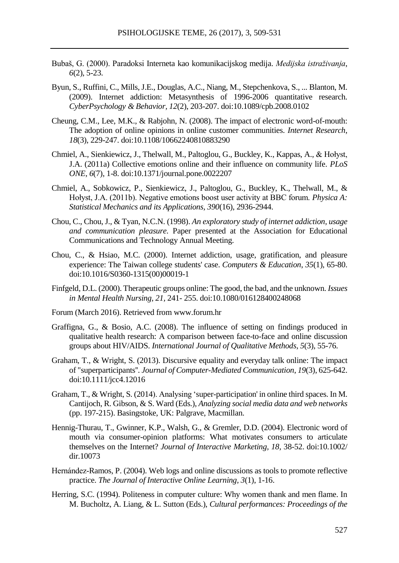- Bubaš, G. (2000). Paradoksi Interneta kao komunikacijskog medija. *Medijska istraživanja*, *6*(2), 5-23.
- Byun, S., Ruffini, C., Mills, J.E., Douglas, A.C., Niang, M., Stepchenkova, S., ... Blanton, M. (2009). Internet addiction: Metasynthesis of 1996-2006 quantitative research. *CyberPsychology & Behavior, 12*(2), 203-207. doi:10.1089/cpb.2008.0102
- Cheung, C.M., Lee, M.K., & Rabjohn, N. (2008). The impact of electronic word-of-mouth: The adoption of online opinions in online customer communities. *Internet Research*, *18*(3), 229-247. doi:10.1108/10662240810883290
- Chmiel, A., Sienkiewicz, J., Thelwall, M., Paltoglou, G., Buckley, K., Kappas, A., & Hołyst, J.A. (2011a) Collective emotions online and their influence on community life. *PLoS ONE*, *6*(7), 1-8. doi:10.1371/journal.pone.0022207
- Chmiel, A., Sobkowicz, P., Sienkiewicz, J., Paltoglou, G., Buckley, K., Thelwall, M., & Hołyst, J.A. (2011b). Negative emotions boost user activity at BBC forum. *Physica A: Statistical Mechanics and its Applications, 390*(16), 2936-2944.
- Chou, C., Chou, J., & Tyan, N.C.N. (1998). *An exploratory study of internet addiction, usage and communication pleasure.* Paper presented at the Association for Educational Communications and Technology Annual Meeting.
- Chou, C., & Hsiao, M.C. (2000). Internet addiction, usage, gratification, and pleasure experience: The Taiwan college students' case. *Computers & Education*, *35*(1), 65-80. [doi:10.1016/S0360-1315\(00\)00019-1](http://dx.doi.org/10.1016/S0360-1315(00)00019-1)
- Finfgeld, D.L. (2000). Therapeutic groups online: The good, the bad, and the unknown. *Issues in Mental Health Nursing, 21,* 241- 255. doi:10.1080/016128400248068
- Forum (March 2016). Retrieved from www.forum.hr
- Graffigna, G., & Bosio, A.C. (2008). The influence of setting on findings produced in qualitative health research: A comparison between face-to-face and online discussion groups about HIV/AIDS. *International Journal of Qualitative Methods*, *5*(3), 55-76.
- Graham, T., & Wright, S. (2013). Discursive equality and everyday talk online: The impact of "superparticipants''. *Journal of Computer-Mediated Communication*, *19*(3), 625-642. doi:10.1111/jcc4.12016
- Graham, T., & Wright, S. (2014). Analysing 'super-participation' in online third spaces. In M. Cantijoch, R. Gibson, & S. Ward (Eds.), *Analyzing social media data and web networks* (pp. 197-215). Basingstoke, UK: Palgrave, Macmillan.
- Hennig-Thurau, T., Gwinner, K.P., Walsh, G., & Gremler, D.D. (2004). Electronic word of mouth via consumer-opinion platforms: What motivates consumers to articulate themselves on the Internet? *Journal of Interactive Marketing, 18,* 38-52. doi:10.1002/ dir.10073
- Hernández-Ramos, P. (2004). Web logs and online discussions as tools to promote reflective practice. *The Journal of Interactive Online Learning, 3*(1), 1-16.
- Herring, S.C. (1994). Politeness in computer culture: Why women thank and men flame. In M. Bucholtz, A. Liang, & L. Sutton (Eds.), *Cultural performances: Proceedings of the*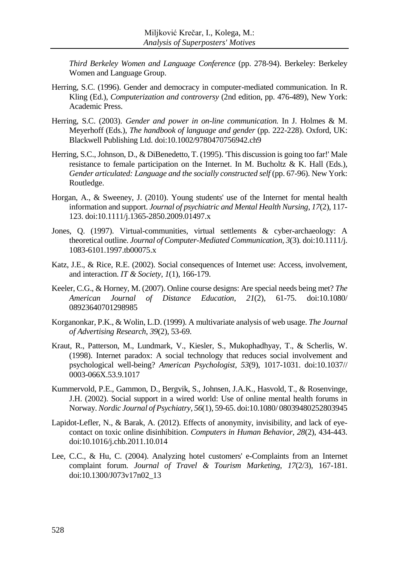*Third Berkeley Women and Language Conference* (pp. 278-94). Berkeley: Berkeley Women and Language Group.

- Herring, S.C. (1996). Gender and democracy in computer-mediated communication. In R. Kling (Ed.), *Computerization and controversy* (2nd edition, pp. 476-489), New York: Academic Press.
- Herring, S.C. (2003). *Gender and power in on-line communication.* In J. Holmes & M. Meyerhoff (Eds.), *The handbook of language and gender* (pp. 222-228). Oxford, UK: Blackwell Publishing Ltd. doi:10.1002/9780470756942.ch9
- Herring, S.C., Johnson, D., & DiBenedetto, T. (1995). 'This discussion is going too far!' Male resistance to female participation on the Internet. In M. Bucholtz & K. Hall (Eds.), *Gender articulated: Language and the socially constructed self* (pp. 67-96). New York: Routledge.
- Horgan, A., & Sweeney, J. (2010). Young students' use of the Internet for mental health information and support. *Journal of psychiatric and Mental Health Nursing*, *17*(2), 117- 123. doi:10.1111/j.1365-2850.2009.01497.x
- Jones, Q. (1997). Virtual-communities, virtual settlements & cyber-archaeology: A theoretical outline. *Journal of Computer-Mediated Communication, 3*(3)*.* doi:10.1111/j. 1083-6101.1997.tb00075.x
- Katz, J.E., & Rice, R.E. (2002). Social consequences of Internet use: Access, involvement, and interaction. *IT & Society, 1*(1), 166-179.
- Keeler, C.G., & Horney, M. (2007). Online course designs: Are special needs being met? *The American Journal of Distance Education*, *21*(2), 61-75. doi:10.1080/ 08923640701298985
- Korganonkar, P.K., & Wolin, L.D. (1999). A multivariate analysis of web usage. *The Journal of Advertising Research*, *39*(2), 53-69.
- Kraut, R., Patterson, M., Lundmark, V., Kiesler, S., Mukophadhyay, T., & Scherlis, W. (1998). Internet paradox: A social technology that reduces social involvement and psychological well-being? *American Psychologist*, *53*(9), 1017-1031. doi[:10.1037//](http://ci.nii.ac.jp/lognavi?name=crossref&id=info:doi/10.1037//0003-066X.53.9.1017) [0003-066X.53.9.1017](http://ci.nii.ac.jp/lognavi?name=crossref&id=info:doi/10.1037//0003-066X.53.9.1017)
- Kummervold, P.E., Gammon, D., Bergvik, S., Johnsen, J.A.K., Hasvold, T., & Rosenvinge, J.H. (2002). Social support in a wired world: Use of online mental health forums in Norway. *Nordic Journal of Psychiatry*, *56*(1), 59-65. doi:10.1080/ 08039480252803945
- Lapidot-Lefler, N., & Barak, A. (2012). Effects of anonymity, invisibility, and lack of eyecontact on toxic online disinhibition. *Computers in Human Behavior, 28*(2), 434-443. [doi:10.1016/j.chb.2011.10.014](http://dx.doi.org/10.1016/j.chb.2011.10.014)
- Lee, C.C., & Hu, C. (2004). Analyzing hotel customers' e-Complaints from an Internet complaint forum. *Journal of Travel & Tourism Marketing*, *17*(2/3), 167-181. doi:10.1300/J073v17n02\_13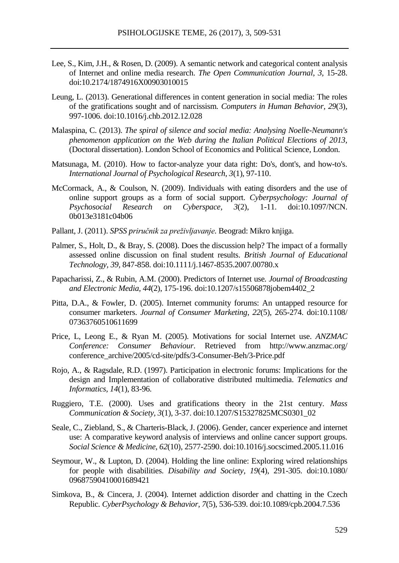- Lee, S., Kim, J.H., & Rosen, D. (2009). A semantic network and categorical content analysis of Internet and online media research. *The Open Communication Journal*, *3,* 15-28. do[i:10.2174/1874916X00903010015](http://dx.doi.org/10.2174/1874916X00903010015)
- Leung, L. (2013). Generational differences in content generation in social media: The roles of the gratifications sought and of narcissism*. Computers in Human Behavior, 29*(3), 997-1006. doi:10.1016/j.chb.2012.12.028
- Malaspina, C. (2013). *The spiral of silence and social media: Analysing Noelle-Neumann's phenomenon application on the Web during the Italian Political Elections of 2013,* (Doctoral dissertation). London School of Economics and Political Science, London.
- Matsunaga, M. (2010). How to factor-analyze your data right: Do's, dont's, and how-to's. *International Journal of Psychological Research, 3*(1), 97-110.
- McCormack, A., & Coulson, N. (2009). Individuals with eating disorders and the use of online support groups as a form of social support. *Cyberpsychology: Journal of Psychosocial Research on Cyberspace, 3*(2), 1-11. doi:10.1097/NCN. 0b013e3181c04b06
- Pallant, J. (2011). *SPSS priručnik za preživljavanje.* Beograd: Mikro knjiga.
- Palmer, S., Holt, D., & Bray, S. (2008). Does the discussion help? The impact of a formally assessed online discussion on final student results. *British Journal of Educational Technology, 39,* 847-858. doi:10.1111/j.1467-8535.2007.00780.x
- Papacharissi, Z., & Rubin, A.M. (2000). Predictors of Internet use*. Journal of Broadcasting and Electronic Media, 44*(2), 175-196. doi:10.1207/s15506878jobem4402\_2
- Pitta, D.A., & Fowler, D. (2005). Internet community forums: An untapped resource for consumer marketers. *Journal of Consumer Marketing*, *22*(5), 265-274. doi:10.1108/ 07363760510611699
- Price, L, Leong E., & Ryan M. (2005). Motivations for social Internet use. *ANZMAC Conference: Consumer Behaviour*. Retrieved from http://www.anzmac.org/ conference\_archive/2005/cd-site/pdfs/3-Consumer-Beh/3-Price.pdf
- Rojo, A., & Ragsdale, R.D. (1997). Participation in electronic forums: Implications for the design and Implementation of collaborative distributed multimedia. *Telematics and Informatics, 14*(1), 83-96*.*
- Ruggiero, T.E. (2000). Uses and gratifications theory in the 21st century. *Mass Communication & Society, 3*(1), 3-37. doi:10.1207/S15327825MCS0301\_02
- Seale, C., Ziebland, S., & Charteris-Black, J. (2006). Gender, cancer experience and internet use: A comparative keyword analysis of interviews and online cancer support groups. *Social Science & Medicine*, *62*(10), 2577-2590. doi:10.1016/j.socscimed.2005.11.016
- Seymour, W., & Lupton, D. (2004). Holding the line online: Exploring wired relationships for people with disabilities. *Disability and Society, 19*(4), 291-305. doi:10.1080/ 09687590410001689421
- Simkova, B., & Cincera, J. (2004). Internet addiction disorder and chatting in the Czech Republic. *CyberPsychology & Behavior, 7*(5), 536-539. doi:10.1089/cpb.2004.7.536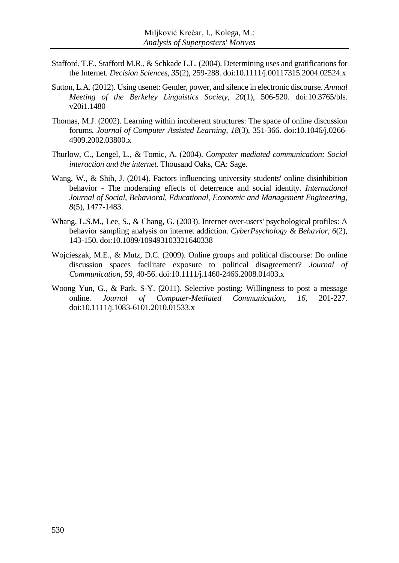- Stafford, T.F., Stafford M.R., & Schkade L.L. (2004). Determining uses and gratifications for the Internet. *Decision Sciences, 35*(2), 259-288. doi:10.1111/j.00117315.2004.02524.x
- Sutton, L.A. (2012). Using usenet: Gender, power, and silence in electronic discourse. *Annual Meeting of the Berkeley Linguistics Society, 20*(1), 506-520. doi[:10.3765/bls.](http://dx.doi.org/10.3765/bls.v20i1.1480) [v20i1.1480](http://dx.doi.org/10.3765/bls.v20i1.1480)
- Thomas, M.J. (2002). Learning within incoherent structures: The space of online discussion forums. *Journal of Computer Assisted Learning*, *18*(3), 351-366. doi:10.1046/j.0266- 4909.2002.03800.x
- Thurlow, C., Lengel, L., & Tomic, A. (2004). *Computer mediated communication: Social interaction and the internet*. Thousand Oaks, CA: Sage.
- Wang, W., & Shih, J. (2014). Factors influencing university students' online disinhibition behavior - The moderating effects of deterrence and social identity. *International Journal of Social, Behavioral, Educational, Economic and Management Engineering, 8*(5), 1477-1483.
- Whang, L.S.M., Lee, S., & Chang, G. (2003). Internet over-users' psychological profiles: A behavior sampling analysis on internet addiction. *CyberPsychology & Behavior*, *6*(2), 143-150. doi:10.1089/109493103321640338
- Wojcieszak, M.E., & Mutz, D.C. (2009). Online groups and political discourse: Do online discussion spaces facilitate exposure to political disagreement? *Journal of Communication, 59*, 40-56. doi:10.1111/j.1460-2466.2008.01403.x
- Woong Yun, G., & Park, S-Y. (2011). Selective posting: Willingness to post a message online. *Journal of Computer-Mediated Communication, 16*, 201-227*.* doi:10.1111/j.1083-6101.2010.01533.x